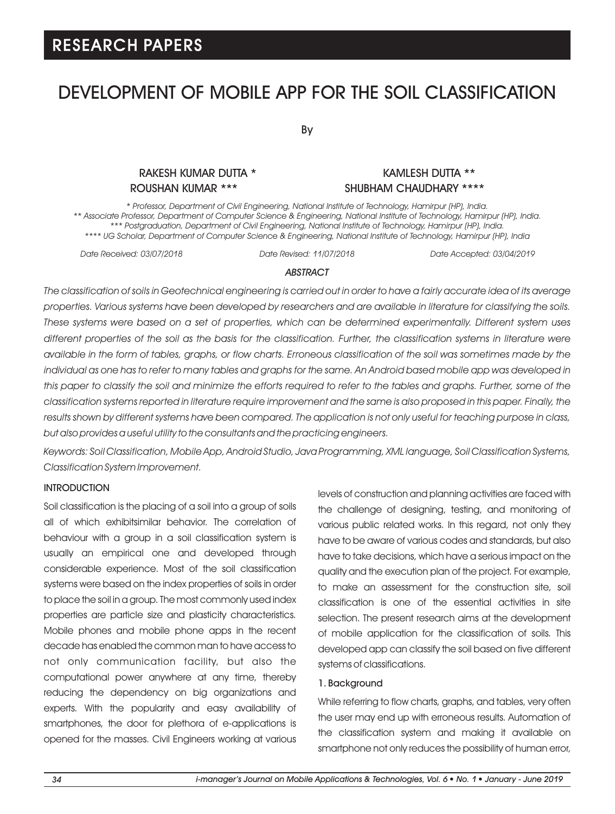# DEVELOPMENT OF MOBILE APP FOR THE SOIL CLASSIFICATION

By

### RAKESH KUMAR DUTTA \* KAMLESH DUTTA \*\* ROUSHAN KUMAR \*\*\* SHUBHAM CHAUDHARY \*\*\*\*

*\* Professor, Department of Civil Engineering, National Institute of Technology, Hamirpur (HP), India. \*\* Associate Professor, Department of Computer Science & Engineering, National Institute of Technology, Hamirpur (HP), India. \*\*\* Postgraduation, Department of Civil Engineering, National Institute of Technology, Hamirpur (HP), India. \*\*\*\* UG Scholar, Department of Computer Science & Engineering, National Institute of Technology, Hamirpur (HP), India* 

*Date Received: 03/07/2018 Date Revised: 11/07/2018 Date Accepted: 03/04/2019*

#### *ABSTRACT*

*The classification of soils in Geotechnical engineering is carried out in order to have a fairly accurate idea of its average properties. Various systems have been developed by researchers and are available in literature for classifying the soils. These systems were based on a set of properties, which can be determined experimentally. Different system uses different properties of the soil as the basis for the classification. Further, the classification systems in literature were available in the form of tables, graphs, or flow charts. Erroneous classification of the soil was sometimes made by the individual as one has to refer to many tables and graphs for the same. An Android based mobile app was developed in this paper to classify the soil and minimize the efforts required to refer to the tables and graphs. Further, some of the classification systems reported in literature require improvement and the same is also proposed in this paper. Finally, the results shown by different systems have been compared. The application is not only useful for teaching purpose in class, but also provides a useful utility to the consultants and the practicing engineers.*

*Keywords: Soil Classification, Mobile App, Android Studio, Java Programming, XML language, Soil Classification Systems, Classification System Improvement.*

#### **INTRODUCTION**

Soil classification is the placing of a soil into a group of soils all of which exhibitsimilar behavior. The correlation of behaviour with a group in a soil classification system is usually an empirical one and developed through considerable experience. Most of the soil classification systems were based on the index properties of soils in order to place the soil in a group. The most commonly used index properties are particle size and plasticity characteristics. Mobile phones and mobile phone apps in the recent decade has enabled the common man to have access to not only communication facility, but also the computational power anywhere at any time, thereby reducing the dependency on big organizations and experts. With the popularity and easy availability of smartphones, the door for plethora of e-applications is opened for the masses. Civil Engineers working at various levels of construction and planning activities are faced with the challenge of designing, testing, and monitoring of various public related works. In this regard, not only they have to be aware of various codes and standards, but also have to take decisions, which have a serious impact on the quality and the execution plan of the project. For example, to make an assessment for the construction site, soil classification is one of the essential activities in site selection. The present research aims at the development of mobile application for the classification of soils. This developed app can classify the soil based on five different systems of classifications.

#### 1. Background

While referring to flow charts, graphs, and tables, very often the user may end up with erroneous results. Automation of the classification system and making it available on smartphone not only reduces the possibility of human error,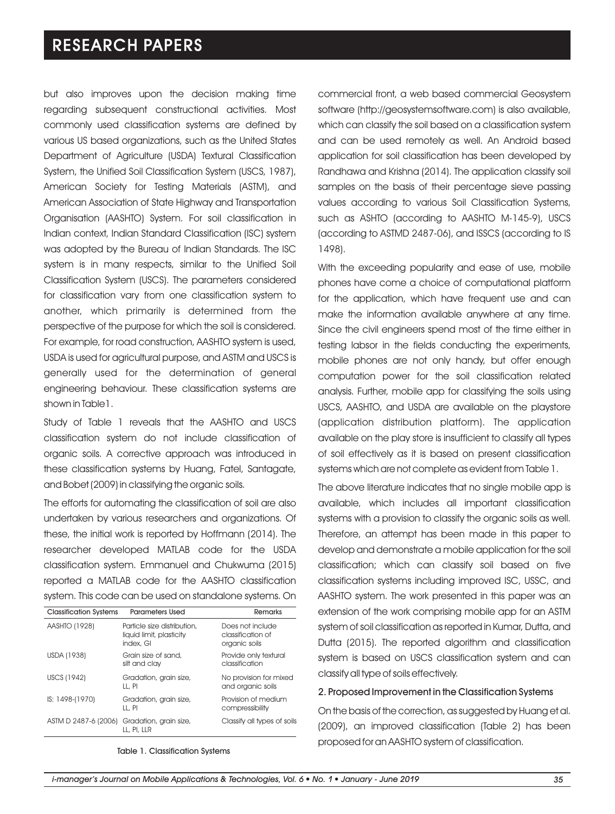but also improves upon the decision making time regarding subsequent constructional activities. Most commonly used classification systems are defined by various US based organizations, such as the United States Department of Agriculture (USDA) Textural Classification System, the Unified Soil Classification System (USCS, 1987), American Society for Testing Materials (ASTM), and American Association of State Highway and Transportation Organisation (AASHTO) System. For soil classification in Indian context, Indian Standard Classification (ISC) system was adopted by the Bureau of Indian Standards. The ISC system is in many respects, similar to the Unified Soil Classification System (USCS). The parameters considered for classification vary from one classification system to another, which primarily is determined from the perspective of the purpose for which the soil is considered. For example, for road construction, AASHTO system is used, USDA is used for agricultural purpose, and ASTM and USCS is generally used for the determination of general engineering behaviour. These classification systems are shown in Table1.

Study of Table 1 reveals that the AASHTO and USCS classification system do not include classification of organic soils. A corrective approach was introduced in these classification systems by Huang, Fatel, Santagate, and Bobet (2009) in classifying the organic soils.

The efforts for automating the classification of soil are also undertaken by various researchers and organizations. Of these, the initial work is reported by Hoffmann (2014). The researcher developed MATLAB code for the USDA classification system. Emmanuel and Chukwuma (2015) reported a MATLAB code for the AASHTO classification system. This code can be used on standalone systems. On

| <b>Classification Systems</b> | <b>Parameters Used</b>                                               | Remarks                                                |
|-------------------------------|----------------------------------------------------------------------|--------------------------------------------------------|
| AASHTO (1928)                 | Particle size distribution,<br>liquid limit, plasticity<br>index, GI | Does not include<br>classification of<br>organic soils |
| USDA (1938)                   | Grain size of sand,<br>silt and clay                                 | Provide only textural<br>classification                |
| USCS (1942)                   | Gradation, grain size,<br>LL, PI                                     | No provision for mixed<br>and organic soils            |
| IS: 1498-(1970)               | Gradation, grain size,<br>LL. PI                                     | Provision of medium<br>compressibility                 |
| ASTM D 2487-6 (2006)          | Gradation, grain size,<br>LL, PI, LLR                                | Classify all types of soils                            |

Table 1. Classification Systems

commercial front, a web based commercial Geosystem software (http://geosystemsoftware.com) is also available, which can classify the soil based on a classification system and can be used remotely as well. An Android based application for soil classification has been developed by Randhawa and Krishna (2014). The application classify soil samples on the basis of their percentage sieve passing values according to various Soil Classification Systems, such as ASHTO (according to AASHTO M-145-9), USCS (according to ASTMD 2487-06), and ISSCS (according to IS 1498).

With the exceeding popularity and ease of use, mobile phones have come a choice of computational platform for the application, which have frequent use and can make the information available anywhere at any time. Since the civil engineers spend most of the time either in testing labsor in the fields conducting the experiments, mobile phones are not only handy, but offer enough computation power for the soil classification related analysis. Further, mobile app for classifying the soils using USCS, AASHTO, and USDA are available on the playstore (application distribution platform). The application available on the play store is insufficient to classify all types of soil effectively as it is based on present classification systems which are not complete as evident from Table 1.

The above literature indicates that no single mobile app is available, which includes all important classification systems with a provision to classify the organic soils as well. Therefore, an attempt has been made in this paper to develop and demonstrate a mobile application for the soil classification; which can classify soil based on five classification systems including improved ISC, USSC, and AASHTO system. The work presented in this paper was an extension of the work comprising mobile app for an ASTM system of soil classification as reported in Kumar, Dutta, and Dutta (2015). The reported algorithm and classification system is based on USCS classification system and can classify all type of soils effectively.

#### 2. Proposed Improvement in the Classification Systems

On the basis of the correction, as suggested by Huang et al. (2009), an improved classification (Table 2) has been proposed for an AASHTO system of classification.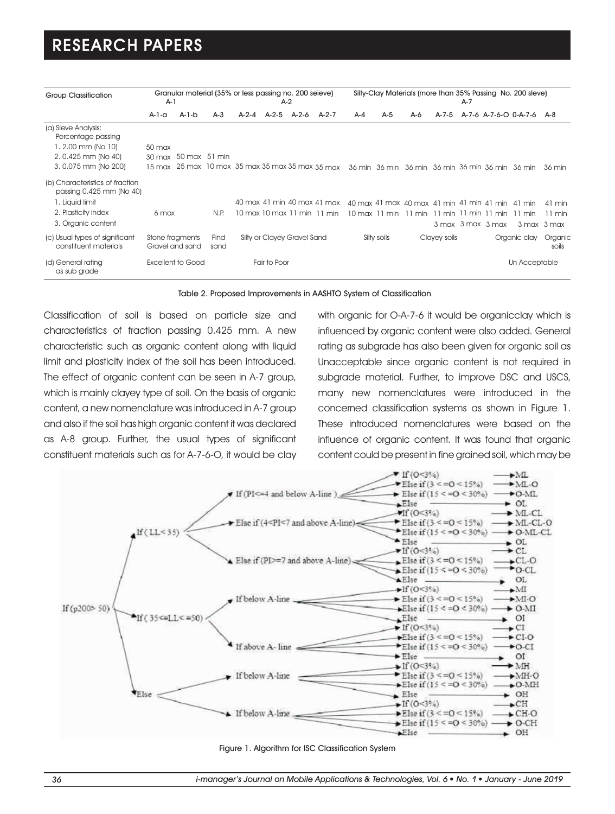| <b>Group Classification</b>                                                                                      | $A-1$                                  |                                    |               | Granular material (35% or less passing no. 200 seieve)<br>$A-2$ |                             |  | Silty-Clay Materials (more than 35% Passing No. 200 sleve)<br>$A-7$                                         |     |             |                                           |              |  |                   |                           |                                                               |
|------------------------------------------------------------------------------------------------------------------|----------------------------------------|------------------------------------|---------------|-----------------------------------------------------------------|-----------------------------|--|-------------------------------------------------------------------------------------------------------------|-----|-------------|-------------------------------------------|--------------|--|-------------------|---------------------------|---------------------------------------------------------------|
|                                                                                                                  | A-1-a                                  | A-1-b                              | $A-3$         |                                                                 | A-2-4 A-2-5 A-2-6           |  | $A-2-7$                                                                                                     | A-4 | $A-5$       | A-6                                       | A-7-5        |  |                   | A-7-6 A-7-6-O 0-A-7-6 A-8 |                                                               |
| (a) Sleve Analysis:<br>Percentage passing<br>$1.2.00$ mm (No $10$ )<br>2.0.425 mm (No 40)<br>3.0.075 mm (No 200) | $50$ max<br>$30 \text{ max}$<br>15 max |                                    | 50 max 51 min |                                                                 |                             |  | 25 max 10 max 35 max 35 max 35 max 35 max 36 min 36 min 36 min 36 min 36 min 36 min 36 min                  |     |             |                                           |              |  |                   |                           | 36 min                                                        |
| (b) Characteristics of fraction<br>passing 0.425 mm (No 40)                                                      |                                        |                                    |               |                                                                 |                             |  |                                                                                                             |     |             |                                           |              |  |                   |                           |                                                               |
| 1. Liquid limit<br>2. Plasticity index<br>3. Organic content                                                     | 6 max                                  |                                    | N.P.          |                                                                 |                             |  | 40 max 41 min 40 max 41 max 40 max 41 max 40 max 41 min 41 min 41 min 41 min<br>10 max 10 max 11 min 11 min |     |             | 10 max 11 min 11 min 11 min 11 min 11 min |              |  | 3 max 3 max 3 max | $11 \text{ min}$          | 41 min<br>$11 \text{ min}$<br>$3 \text{ max}$ $3 \text{ max}$ |
| (c) Usual types of significant<br>constituent materials                                                          |                                        | Stone fragments<br>Gravel and sand | Find<br>sand  |                                                                 | Silty or Clayey Gravel Sand |  |                                                                                                             |     | Silty soils |                                           | Clayey soils |  |                   | Organic clay              | Organic<br>soils                                              |
| (d) General rating<br>as sub grade                                                                               |                                        | <b>Excellent to Good</b>           |               |                                                                 | Fair to Poor                |  |                                                                                                             |     |             |                                           |              |  |                   | Un Acceptable             |                                                               |

Table 2. Proposed Improvements in AASHTO System of Classification

Classification of soil is based on particle size and characteristics of fraction passing 0.425 mm. A new characteristic such as organic content along with liquid limit and plasticity index of the soil has been introduced. The effect of organic content can be seen in A-7 group, which is mainly clayey type of soil. On the basis of organic content, a new nomenclature was introduced in A-7 group and also if the soil has high organic content it was declared as A-8 group. Further, the usual types of significant constituent materials such as for A-7-6-O, it would be clay

with organic for O-A-7-6 it would be organicclay which is influenced by organic content were also added. General rating as subgrade has also been given for organic soil as Unacceptable since organic content is not required in subgrade material. Further, to improve DSC and USCS, many new nomenclatures were introduced in the concerned classification systems as shown in Figure 1. These introduced nomenclatures were based on the influence of organic content. It was found that organic content could be present in fine grained soil, which may be



Figure 1. Algorithm for ISC Classification System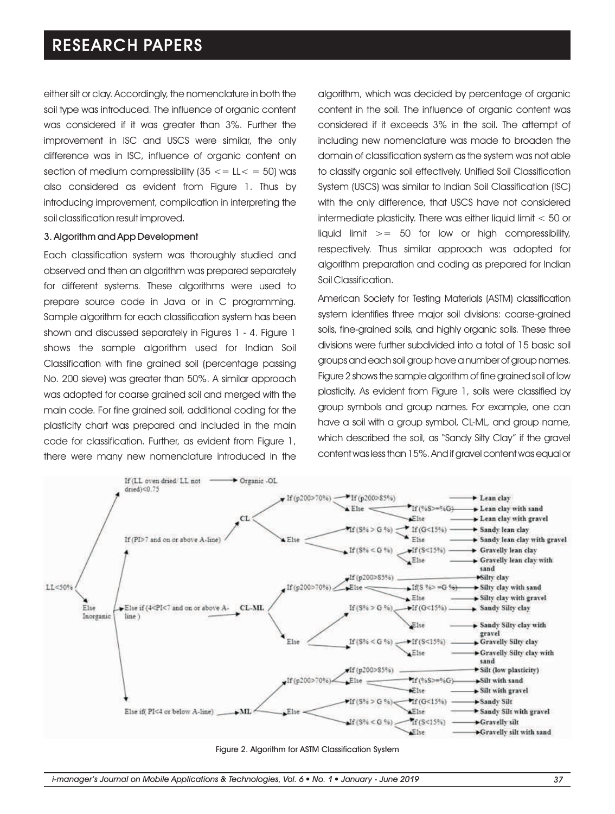either silt or clay. Accordingly, the nomenclature in both the soil type was introduced. The influence of organic content was considered if it was greater than 3%. Further the improvement in ISC and USCS were similar, the only difference was in ISC, influence of organic content on section of medium compressibility  $(35 \leq L \leq 50)$  was also considered as evident from Figure 1. Thus by introducing improvement, complication in interpreting the soil classification result improved.

#### 3. Algorithm and App Development

Each classification system was thoroughly studied and observed and then an algorithm was prepared separately for different systems. These algorithms were used to prepare source code in Java or in C programming. Sample algorithm for each classification system has been shown and discussed separately in Figures 1 - 4. Figure 1 shows the sample algorithm used for Indian Soil Classification with fine grained soil (percentage passing No. 200 sieve) was greater than 50%. A similar approach was adopted for coarse grained soil and merged with the main code. For fine grained soil, additional coding for the plasticity chart was prepared and included in the main code for classification. Further, as evident from Figure 1, there were many new nomenclature introduced in the algorithm, which was decided by percentage of organic content in the soil. The influence of organic content was considered if it exceeds 3% in the soil. The attempt of including new nomenclature was made to broaden the domain of classification system as the system was not able to classify organic soil effectively. Unified Soil Classification System (USCS) was similar to Indian Soil Classification (ISC) with the only difference, that USCS have not considered intermediate plasticity. There was either liquid limit < 50 or liquid limit  $>= 50$  for low or high compressibility, respectively. Thus similar approach was adopted for algorithm preparation and coding as prepared for Indian Soil Classification.

American Society for Testing Materials (ASTM) classification system identifies three major soil divisions: coarse-grained soils, fine-grained soils, and highly organic soils. These three divisions were further subdivided into a total of 15 basic soil groups and each soil group have a number of group names. Figure 2 shows the sample algorithm of fine grained soil of low plasticity. As evident from Figure 1, soils were classified by group symbols and group names. For example, one can have a soil with a group symbol, CL-ML, and group name, which described the soil, as "Sandy Silty Clay" if the gravel content was less than 15%. And if gravel content was equal or



Figure 2. Algorithm for ASTM Classification System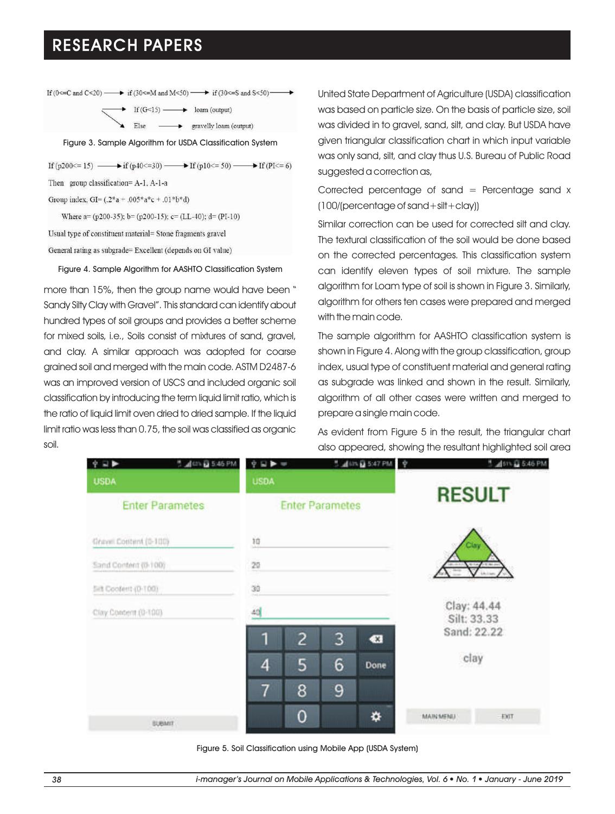| If $(0 \leq C \leq C \leq C)$ $\longrightarrow$ if $(30 \leq M \leq M)$ and $M \leq 50$ $\longrightarrow$ if $(30 \leq S \leq M)$ |
|-----------------------------------------------------------------------------------------------------------------------------------|
| If $(G<15)$ $\longrightarrow$ loam (output)                                                                                       |
| Else $\longrightarrow$ gravelly loam (output)                                                                                     |
| Figure 3. Sample Algorithm for USDA Classification System                                                                         |
| If $(p200 \le 15)$ $\longrightarrow$ if $(p40 \le 30)$ $\longrightarrow$ If $(p10 \le 50)$ $\longrightarrow$ If $(P1 \le 6)$      |
| Then group classification=A-1, A-1-a                                                                                              |
| Group index, GI= $(.2*a+.005*a*c+.01*b*d)$                                                                                        |
|                                                                                                                                   |

Where  $a= (p200-35)$ ;  $b= (p200-15)$ ;  $c= (LL-40)$ ;  $d= (PI-10)$ Usual type of constituent material= Stone fragments gravel General rating as subgrade= Excellent (depends on GI value)

Figure 4. Sample Algorithm for AASHTO Classification System

more than 15%, then the group name would have been " Sandy Silty Clay with Gravel". This standard can identify about hundred types of soil groups and provides a better scheme for mixed soils, i.e., Soils consist of mixtures of sand, gravel, and clay. A similar approach was adopted for coarse grained soil and merged with the main code. ASTM D2487-6 was an improved version of USCS and included organic soil classification by introducing the term liquid limit ratio, which is the ratio of liquid limit oven dried to dried sample. If the liquid limit ratio was less than 0.75, the soil was classified as organic soil.

United State Department of Agriculture (USDA) classification was based on particle size. On the basis of particle size, soil was divided in to gravel, sand, silt, and clay. But USDA have given triangular classification chart in which input variable was only sand, silt, and clay thus U.S. Bureau of Public Road suggested a correction as,

Corrected percentage of sand  $=$  Percentage sand  $x$ (100/(percentage of sand+silt+clay))

Similar correction can be used for corrected silt and clay. The textural classification of the soil would be done based on the corrected percentages. This classification system can identify eleven types of soil mixture. The sample algorithm for Loam type of soil is shown in Figure 3. Similarly, algorithm for others ten cases were prepared and merged with the main code.

The sample algorithm for AASHTO classification system is shown in Figure 4. Along with the group classification, group index, usual type of constituent material and general rating as subgrade was linked and shown in the result. Similarly, algorithm of all other cases were written and merged to prepare a single main code.

As evident from Figure 5 in the result, the triangular chart also appeared, showing the resultant highlighted soil area

| IJ                     | $\frac{16}{3}$ and $\frac{12}{16}$ 5:46 PM | 9.59           |                        |   | $2$ $\frac{1}{2}$ $\frac{1}{2}$ $\frac{1}{2}$ $\frac{1}{2}$ $\frac{1}{2}$ $\frac{1}{2}$ $\frac{1}{2}$ $\frac{1}{2}$ $\frac{1}{2}$ $\frac{1}{2}$ $\frac{1}{2}$ $\frac{1}{2}$ $\frac{1}{2}$ $\frac{1}{2}$ $\frac{1}{2}$ $\frac{1}{2}$ $\frac{1}{2}$ $\frac{1}{2}$ $\frac{1}{2}$ $\frac{1}{2}$ $\frac{1}{2}$ $\frac{1}{2$ | ÷                          | 451% & 5.46 PM |  |  |
|------------------------|--------------------------------------------|----------------|------------------------|---|------------------------------------------------------------------------------------------------------------------------------------------------------------------------------------------------------------------------------------------------------------------------------------------------------------------------|----------------------------|----------------|--|--|
| <b>USDA</b>            |                                            | <b>USDA</b>    |                        |   |                                                                                                                                                                                                                                                                                                                        |                            |                |  |  |
| <b>Enter Parametes</b> |                                            |                | <b>Enter Parametes</b> |   |                                                                                                                                                                                                                                                                                                                        | <b>RESULT</b>              |                |  |  |
| Crowl Content (0-100)  |                                            | 10             |                        |   |                                                                                                                                                                                                                                                                                                                        |                            | 2lay           |  |  |
| Sand Content (0-100)   |                                            | 20<br>fri      |                        |   |                                                                                                                                                                                                                                                                                                                        |                            |                |  |  |
| Sitt Coolerit (0-100)  |                                            | $\frac{30}{2}$ |                        |   |                                                                                                                                                                                                                                                                                                                        |                            |                |  |  |
| Clay Content (0-100)   |                                            | 4d             |                        |   |                                                                                                                                                                                                                                                                                                                        | Clay: 44.44<br>Silt: 33.33 |                |  |  |
|                        |                                            | п              | $\overline{c}$         | 3 | $\bullet$                                                                                                                                                                                                                                                                                                              |                            | Sand: 22.22    |  |  |
|                        |                                            | 4              | 5                      | 6 | Done                                                                                                                                                                                                                                                                                                                   |                            | clay           |  |  |
|                        |                                            | 7              | 8                      | 9 |                                                                                                                                                                                                                                                                                                                        |                            |                |  |  |
| <b>BUBART</b>          |                                            |                | 0                      |   | ❖                                                                                                                                                                                                                                                                                                                      | MAIN MENU                  | <b>EXT</b>     |  |  |

Figure 5. Soil Classification using Mobile App (USDA System)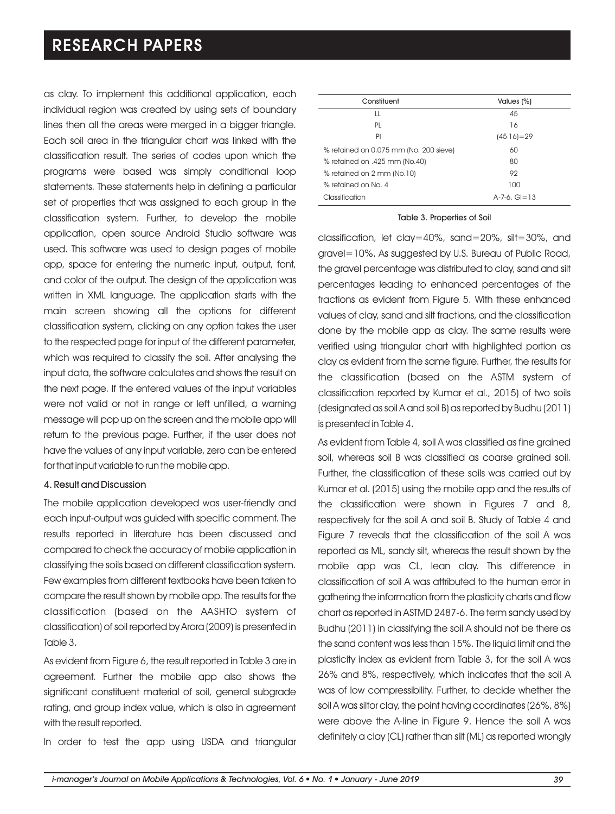as clay. To implement this additional application, each individual region was created by using sets of boundary lines then all the areas were merged in a bigger triangle. Each soil area in the triangular chart was linked with the classification result. The series of codes upon which the programs were based was simply conditional loop statements. These statements help in defining a particular set of properties that was assigned to each group in the classification system. Further, to develop the mobile application, open source Android Studio software was used. This software was used to design pages of mobile app, space for entering the numeric input, output, font, and color of the output. The design of the application was written in XML language. The application starts with the main screen showing all the options for different classification system, clicking on any option takes the user to the respected page for input of the different parameter, which was required to classify the soil. After analysing the input data, the software calculates and shows the result on the next page. If the entered values of the input variables were not valid or not in range or left unfilled, a warning message will pop up on the screen and the mobile app will return to the previous page. Further, if the user does not have the values of any input variable, zero can be entered for that input variable to run the mobile app.

#### 4. Result and Discussion

The mobile application developed was user-friendly and each input-output was guided with specific comment. The results reported in literature has been discussed and compared to check the accuracy of mobile application in classifying the soils based on different classification system. Few examples from different textbooks have been taken to compare the result shown by mobile app. The results for the classification (based on the AASHTO system of classification) of soil reported by Arora (2009) is presented in Table 3.

As evident from Figure 6, the result reported in Table 3 are in agreement. Further the mobile app also shows the significant constituent material of soil, general subgrade rating, and group index value, which is also in agreement with the result reported.

In order to test the app using USDA and triangular

| Constituent                            | Values (%)             |
|----------------------------------------|------------------------|
| LL                                     | 45                     |
| PL                                     | 16                     |
| PI                                     | $(45-16)=29$           |
| % retained on 0.075 mm (No. 200 sieve) | 60                     |
| % retained on .425 mm (No.40)          | 80                     |
| % retained on 2 mm (No.10)             | 92                     |
| % retained on No. 4                    | 100                    |
| Classification                         | $A - 7 - 6$ . $G = 13$ |

#### Table 3. Properties of Soil

classification, let clay=40%, sand=20%, silt=30%, and gravel=10%. As suggested by U.S. Bureau of Public Road, the gravel percentage was distributed to clay, sand and silt percentages leading to enhanced percentages of the fractions as evident from Figure 5. With these enhanced values of clay, sand and silt fractions, and the classification done by the mobile app as clay. The same results were verified using triangular chart with highlighted portion as clay as evident from the same figure. Further, the results for the classification (based on the ASTM system of classification reported by Kumar et al., 2015) of two soils (designated as soil A and soil B) as reported by Budhu (2011) is presented in Table 4.

As evident from Table 4, soil A was classified as fine grained soil, whereas soil B was classified as coarse grained soil. Further, the classification of these soils was carried out by Kumar et al. (2015) using the mobile app and the results of the classification were shown in Figures 7 and 8, respectively for the soil A and soil B. Study of Table 4 and Figure 7 reveals that the classification of the soil A was reported as ML, sandy silt, whereas the result shown by the mobile app was CL, lean clay. This difference in classification of soil A was attributed to the human error in gathering the information from the plasticity charts and flow chart as reported in ASTMD 2487-6. The term sandy used by Budhu (2011) in classifying the soil A should not be there as the sand content was less than 15%. The liquid limit and the plasticity index as evident from Table 3, for the soil A was 26% and 8%, respectively, which indicates that the soil A was of low compressibility. Further, to decide whether the soil A was siltor clay, the point having coordinates (26%, 8%) were above the A-line in Figure 9. Hence the soil A was definitely a clay (CL) rather than silt (ML) as reported wrongly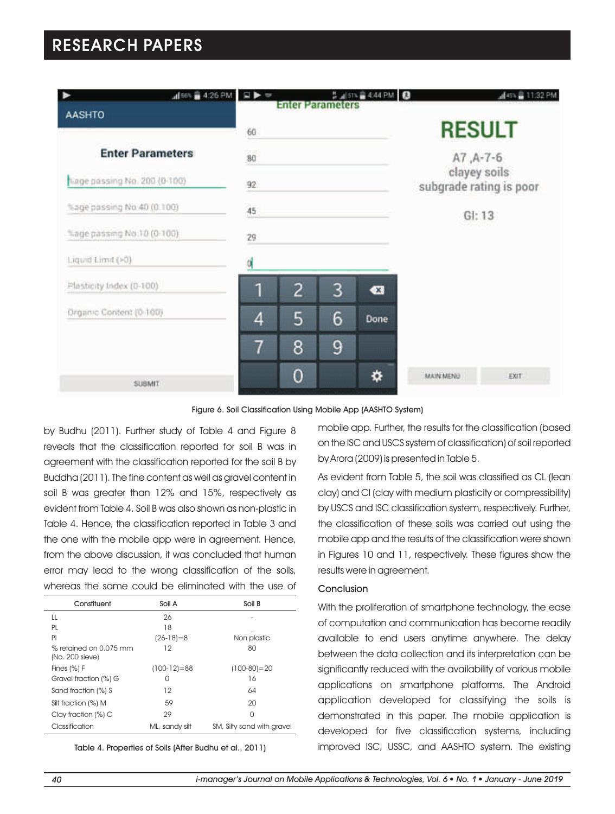

Figure 6. Soil Classification Using Mobile App (AASHTO System)

by Budhu (2011). Further study of Table 4 and Figure 8 reveals that the classification reported for soil B was in agreement with the classification reported for the soil B by Buddha (2011). The fine content as well as gravel content in soil B was greater than 12% and 15%, respectively as evident from Table 4. Soil B was also shown as non-plastic in Table 4. Hence, the classification reported in Table 3 and the one with the mobile app were in agreement. Hence, from the above discussion, it was concluded that human error may lead to the wrong classification of the soils, whereas the same could be eliminated with the use of

| Constituent                                 | Soil A         | Soil B                     |
|---------------------------------------------|----------------|----------------------------|
| Ш                                           | 26             |                            |
| PL                                          | 18             |                            |
| PI                                          | $(26-18)=8$    | Non plastic                |
| $%$ retained on 0.075 mm<br>(No. 200 sieve) | 12             | 80                         |
| Fines $(%)F$                                | $(100-12)=88$  | $(100-80)=20$              |
| Gravel fraction (%) G                       | Ω              | 16                         |
| Sand fraction (%) S                         | 12             | 64                         |
| Silt fraction (%) M                         | 59             | 20                         |
| Clay fraction (%) C                         | 29             | U                          |
| Classification                              | ML, sandy silt | SM, Silty sand with gravel |

Table 4. Properties of Soils (After Budhu et al., 2011)

mobile app. Further, the results for the classification (based on the ISC and USCS system of classification) of soil reported by Arora (2009) is presented in Table 5.

As evident from Table 5, the soil was classified as CL (lean clay) and CI (clay with medium plasticity or compressibility) by USCS and ISC classification system, respectively. Further, the classification of these soils was carried out using the mobile app and the results of the classification were shown in Figures 10 and 11, respectively. These figures show the results were in agreement.

#### Conclusion

With the proliferation of smartphone technology, the ease of computation and communication has become readily available to end users anytime anywhere. The delay between the data collection and its interpretation can be significantly reduced with the availability of various mobile applications on smartphone platforms. The Android application developed for classifying the soils is demonstrated in this paper. The mobile application is developed for five classification systems, including improved ISC, USSC, and AASHTO system. The existing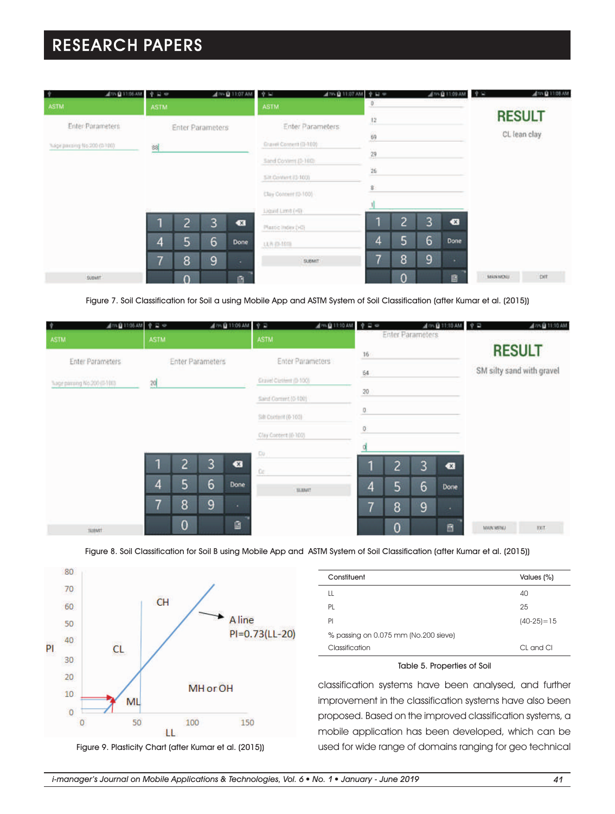| ATTN @ 11:06 AM<br>l.≑      | 中国中              |                |                                             | 479-Q 11:07 AM | $\psi =$             | $A \gg 1$ 11:07 AM $\phi$ is $\phi$<br>$\overline{\theta}$ |   |   | <b>ATT 自11:09 AM</b> 中国 |                | ATTN @ 11:08 AM |
|-----------------------------|------------------|----------------|---------------------------------------------|----------------|----------------------|------------------------------------------------------------|---|---|-------------------------|----------------|-----------------|
| <b>ASTM</b>                 | ASTM.            |                | <b>ASTM</b>                                 | $\ddot{12}$    |                      |                                                            |   |   | <b>RESULT</b>           |                |                 |
| Enter Parameters            | Enter Parameters |                | Enter Parameters:<br>Gravel Corners (D-100) | 69             |                      |                                                            |   |   | CL lean clay            |                |                 |
| %age parting 46.200 (0.100) | 혝                |                |                                             |                | Sand Contem (3-160)  | $\mathcal{R}_1$ and $\mathcal{R}_2$<br>$29\,$              |   |   |                         |                |                 |
|                             |                  |                |                                             |                | Sit Content (0-100)  | 26                                                         |   |   |                         |                |                 |
|                             |                  |                |                                             |                | Clay Content (D-100) | $\overline{8}$                                             |   |   |                         |                |                 |
|                             |                  |                |                                             |                | Liquid Limit (Fill)  |                                                            | o |   |                         |                |                 |
|                             | ٠                | $\overline{2}$ | 3                                           | $\bullet$      | Master mons (PD)     |                                                            |   | 3 | $\bullet$               |                |                 |
|                             | 4                | 5              | 6                                           | Done           | <b>U.R.D-ISTS</b>    | 4                                                          | 5 | 6 | Done                    |                |                 |
|                             | ۰,               | 8              | 9                                           |                | <b>SUBART</b>        |                                                            | 8 | 9 | a.                      |                |                 |
| <b>SUBART</b>               |                  | $\Omega$       |                                             | ū.             |                      |                                                            | n |   | 自                       | <b>MANMOUL</b> | bit             |

Figure 7. Soil Classification for Soil a using Mobile App and ASTM System of Soil Classification (after Kumar et al. (2015))

| ▲179.00 11:06 AM   全日 ◎<br>净<br><b>ASTM</b> | <b>ASTM</b> |                |                         | <b>JamQ11:09 AM</b>   空급 | <b>ASTM</b>          | $A^{m}B$ 11:10 AM $920$ |                        | <b>Enter Parameters</b> |                | $A \otimes \mathbf{Q}$ 11:10 AM $\phi$ 2 |                  | All 77-12 11:10 AM       |  |                           |
|---------------------------------------------|-------------|----------------|-------------------------|--------------------------|----------------------|-------------------------|------------------------|-------------------------|----------------|------------------------------------------|------------------|--------------------------|--|---------------------------|
| Enter Parameters                            |             |                | <b>Enter Parameters</b> |                          |                      | Enter Parameters        | $16$                   |                         |                |                                          |                  | <b>RESULT</b>            |  |                           |
| Tuge parang No.200 (S-100)                  | 20          |                |                         |                          |                      |                         | Gravel Custern (0-100) |                         | $\frac{1}{2}4$ |                                          |                  |                          |  | SM silty sand with gravel |
|                                             |             |                |                         |                          | Sand Commt (0-100)   |                         | 20                     |                         |                |                                          |                  |                          |  |                           |
|                                             |             |                |                         |                          | Sitt Content (0-103) |                         | Ð<br>$\overline{a}$    |                         |                |                                          |                  |                          |  |                           |
|                                             |             |                |                         |                          | Clay Content (0-102) |                         |                        |                         |                |                                          |                  |                          |  |                           |
|                                             | п           | っ<br>۷         | 3                       | $\bullet$                | CU<br>Oc:            |                         |                        | $\overline{c}$          | 3              | €                                        |                  |                          |  |                           |
|                                             | 4           | 5              | 6                       | Done                     |                      | <b>BUINT</b>            | 4                      | 5                       | 6              | Done                                     |                  |                          |  |                           |
|                                             | 7           | 8              | 9                       | ٠                        |                      |                         | ۰,                     | 8                       | 9              | $\sim$                                   |                  |                          |  |                           |
| <b>SUMME</b>                                |             | $\overline{0}$ |                         | ū                        |                      |                         |                        | $\mathbf 0$             |                | B                                        | <b>MAIN MENU</b> | $\overline{\mathrm{EM}}$ |  |                           |

Figure 8. Soil Classification for Soil B using Mobile App and ASTM System of Soil Classification (after Kumar et al. (2015))



Figure 9. Plasticity Chart (after Kumar et al. (2015))

| Constituent                          | Values (%)   |
|--------------------------------------|--------------|
| LL                                   | 40           |
| PL                                   | 25           |
| PI                                   | $(40-25)=15$ |
| % passing on 0.075 mm (No.200 sieve) |              |
| Classification                       | CL and Cl    |

#### Table 5. Properties of Soil

classification systems have been analysed, and further improvement in the classification systems have also been proposed. Based on the improved classification systems, a mobile application has been developed, which can be used for wide range of domains ranging for geo technical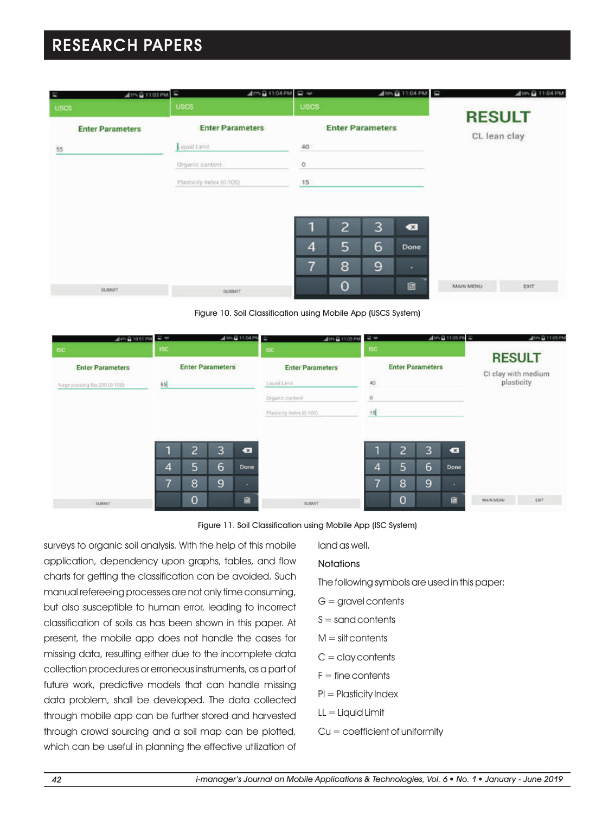| dth自11:03 PM 5<br><b>CO</b> | 4th 8 11:04 PM (2 w      |                |                         |   | ASING 11:04 PM | <b>START OF</b>  | ASIN @ 11:04 PM |
|-----------------------------|--------------------------|----------------|-------------------------|---|----------------|------------------|-----------------|
| <b>USCS</b>                 | <b>USCS</b>              | <b>USCS</b>    |                         |   |                | <b>RESULT</b>    |                 |
| <b>Enter Parameters</b>     | <b>Enter Parameters</b>  |                | <b>Enter Parameters</b> |   |                |                  |                 |
| 86                          | Liquid Levit             | 40             |                         |   |                | CL lean clay     |                 |
|                             | Organic cuntant          | $\circ$        |                         |   |                |                  |                 |
|                             | Plasticity Indio(10-100) | $-15$          |                         |   |                |                  |                 |
|                             |                          |                |                         |   |                |                  |                 |
|                             |                          | F.             |                         |   |                |                  |                 |
|                             |                          |                | 2                       | 3 | $\bullet$      |                  |                 |
|                             |                          | $\overline{4}$ | 5                       | 6 | Done           |                  |                 |
|                             |                          | 7              | 8                       | 9 | ۰              |                  |                 |
|                             |                          |                | $\mathbf 0$             |   | 區              | <b>MAIN MOND</b> | <b>EXIT</b>     |

Figure 10. Soil Classification using Mobile App (USCS System)



Figure 11. Soil Classification using Mobile App (ISC System)

surveys to organic soil analysis. With the help of this mobile application, dependency upon graphs, tables, and flow charts for getting the classification can be avoided. Such manual refereeing processes are not only time consuming, but also susceptible to human error, leading to incorrect classification of soils as has been shown in this paper. At present, the mobile app does not handle the cases for missing data, resulting either due to the incomplete data collection procedures or erroneous instruments, as a part of future work, predictive models that can handle missing data problem, shall be developed. The data collected through mobile app can be further stored and harvested through crowd sourcing and a soil map can be plotted, which can be useful in planning the effective utilization of land as well.

#### **Notations**

The following symbols are used in this paper:

- $G =$  gravel contents
- $S =$  sand contents
- $M =$  silt contents
- $C =$  clay contents
- $F =$  fine contents
- PI = Plasticity Index
- $LL =$  Liquid Limit
- Cu = coefficient of uniformity